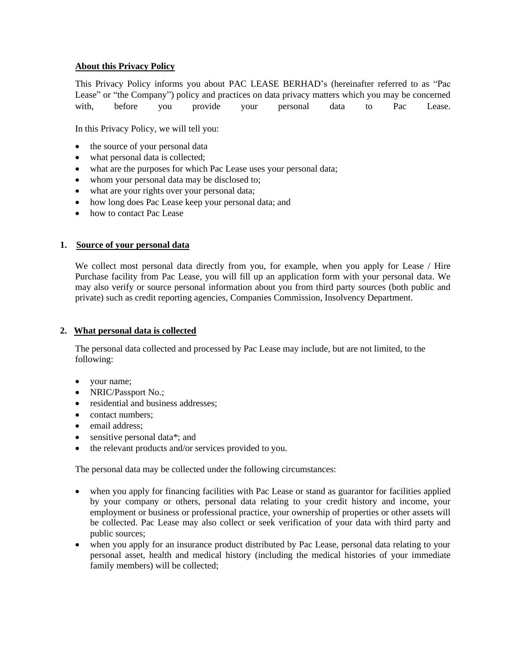# **About this Privacy Policy**

This Privacy Policy informs you about PAC LEASE BERHAD's (hereinafter referred to as "Pac Lease" or "the Company") policy and practices on data privacy matters which you may be concerned with, before you provide your personal data to Pac Lease.

In this Privacy Policy, we will tell you:

- the source of your personal data
- what personal data is collected;
- what are the purposes for which Pac Lease uses your personal data;
- whom your personal data may be disclosed to;
- what are your rights over your personal data;
- how long does Pac Lease keep your personal data; and
- how to contact Pac Lease

## **1. Source of your personal data**

We collect most personal data directly from you, for example, when you apply for Lease / Hire Purchase facility from Pac Lease, you will fill up an application form with your personal data. We may also verify or source personal information about you from third party sources (both public and private) such as credit reporting agencies, Companies Commission, Insolvency Department.

## **2. What personal data is collected**

The personal data collected and processed by Pac Lease may include, but are not limited, to the following:

- your name;
- NRIC/Passport No.;
- residential and business addresses:
- contact numbers:
- email address:
- sensitive personal data\*; and
- the relevant products and/or services provided to you.

The personal data may be collected under the following circumstances:

- when you apply for financing facilities with Pac Lease or stand as guarantor for facilities applied by your company or others, personal data relating to your credit history and income, your employment or business or professional practice, your ownership of properties or other assets will be collected. Pac Lease may also collect or seek verification of your data with third party and public sources;
- when you apply for an insurance product distributed by Pac Lease, personal data relating to your personal asset, health and medical history (including the medical histories of your immediate family members) will be collected;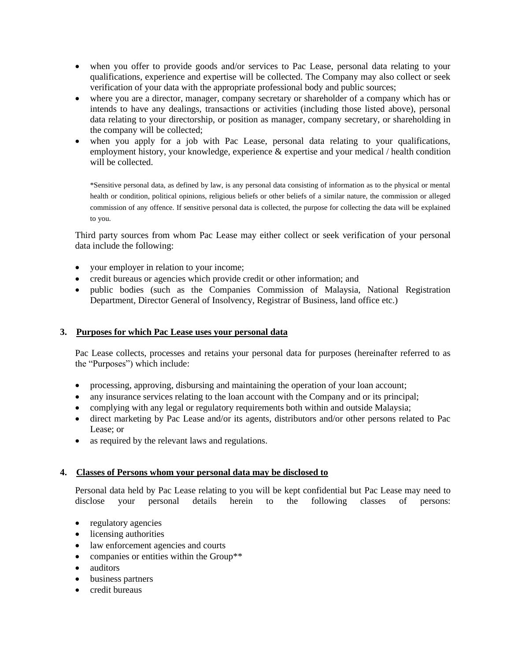- when you offer to provide goods and/or services to Pac Lease, personal data relating to your qualifications, experience and expertise will be collected. The Company may also collect or seek verification of your data with the appropriate professional body and public sources;
- where you are a director, manager, company secretary or shareholder of a company which has or intends to have any dealings, transactions or activities (including those listed above), personal data relating to your directorship, or position as manager, company secretary, or shareholding in the company will be collected;
- when you apply for a job with Pac Lease, personal data relating to your qualifications, employment history, your knowledge, experience & expertise and your medical / health condition will be collected.

\*Sensitive personal data, as defined by law, is any personal data consisting of information as to the physical or mental health or condition, political opinions, religious beliefs or other beliefs of a similar nature, the commission or alleged commission of any offence. If sensitive personal data is collected, the purpose for collecting the data will be explained to you.

Third party sources from whom Pac Lease may either collect or seek verification of your personal data include the following:

- your employer in relation to your income;
- credit bureaus or agencies which provide credit or other information; and
- public bodies (such as the Companies Commission of Malaysia, National Registration Department, Director General of Insolvency, Registrar of Business, land office etc.)

## **3. Purposes for which Pac Lease uses your personal data**

Pac Lease collects, processes and retains your personal data for purposes (hereinafter referred to as the "Purposes") which include:

- processing, approving, disbursing and maintaining the operation of your loan account;
- any insurance services relating to the loan account with the Company and or its principal;
- complying with any legal or regulatory requirements both within and outside Malaysia;
- direct marketing by Pac Lease and/or its agents, distributors and/or other persons related to Pac Lease; or
- as required by the relevant laws and regulations.

## **4. Classes of Persons whom your personal data may be disclosed to**

Personal data held by Pac Lease relating to you will be kept confidential but Pac Lease may need to disclose your personal details herein to the following classes of persons:

- regulatory agencies
- licensing authorities
- law enforcement agencies and courts
- companies or entities within the Group\*\*
- auditors
- business partners
- credit bureaus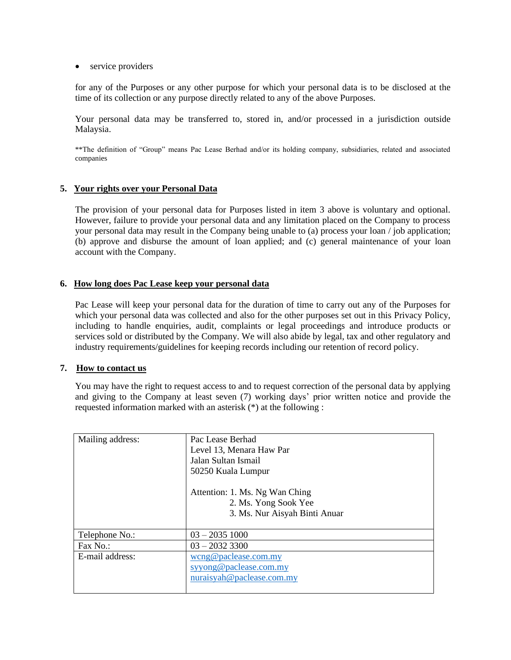• service providers

for any of the Purposes or any other purpose for which your personal data is to be disclosed at the time of its collection or any purpose directly related to any of the above Purposes.

Your personal data may be transferred to, stored in, and/or processed in a jurisdiction outside Malaysia.

\*\*The definition of "Group" means Pac Lease Berhad and/or its holding company, subsidiaries, related and associated companies

#### **5. Your rights over your Personal Data**

The provision of your personal data for Purposes listed in item 3 above is voluntary and optional. However, failure to provide your personal data and any limitation placed on the Company to process your personal data may result in the Company being unable to (a) process your loan / job application; (b) approve and disburse the amount of loan applied; and (c) general maintenance of your loan account with the Company.

#### **6. How long does Pac Lease keep your personal data**

Pac Lease will keep your personal data for the duration of time to carry out any of the Purposes for which your personal data was collected and also for the other purposes set out in this Privacy Policy, including to handle enquiries, audit, complaints or legal proceedings and introduce products or services sold or distributed by the Company. We will also abide by legal, tax and other regulatory and industry requirements/guidelines for keeping records including our retention of record policy.

#### **7. How to contact us**

You may have the right to request access to and to request correction of the personal data by applying and giving to the Company at least seven (7) working days' prior written notice and provide the requested information marked with an asterisk (\*) at the following :

| Mailing address: | Pac Lease Berhad<br>Level 13, Menara Haw Par<br>Jalan Sultan Ismail<br>50250 Kuala Lumpur<br>Attention: 1. Ms. Ng Wan Ching<br>2. Ms. Yong Sook Yee<br>3. Ms. Nur Aisyah Binti Anuar |
|------------------|--------------------------------------------------------------------------------------------------------------------------------------------------------------------------------------|
| Telephone No.:   | $03 - 20351000$                                                                                                                                                                      |
| Fax No.          | $03 - 20323300$                                                                                                                                                                      |
| E-mail address:  | wcng@paclease.com my<br>syyong@paclease.com.my<br>nuraisyah@paclease.com(my                                                                                                          |